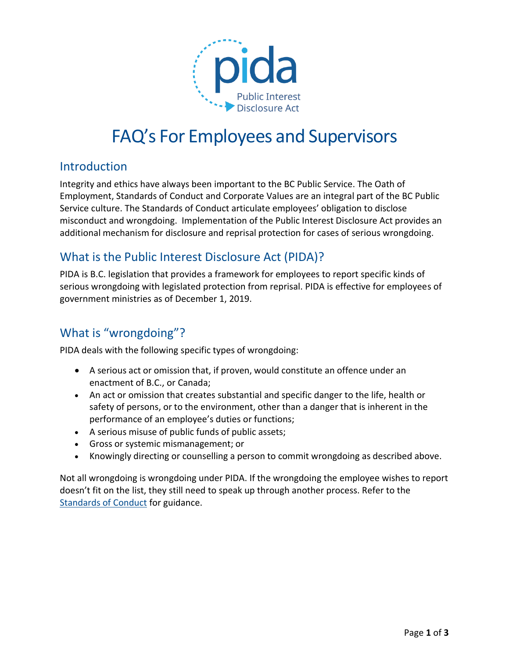

# FAQ's For Employees and Supervisors

#### Introduction

Integrity and ethics have always been important to the BC Public Service. The Oath of Employment, Standards of Conduct and Corporate Values are an integral part of the BC Public Service culture. The Standards of Conduct articulate employees' obligation to disclose misconduct and wrongdoing. Implementation of the Public Interest Disclosure Act provides an additional mechanism for disclosure and reprisal protection for cases of serious wrongdoing.

## What is the Public Interest Disclosure Act (PIDA)?

PIDA is B.C. legislation that provides a framework for employees to report specific kinds of serious wrongdoing with legislated protection from reprisal. PIDA is effective for employees of government ministries as of December 1, 2019.

# What is "wrongdoing"?

PIDA deals with the following specific types of wrongdoing:

- A serious act or omission that, if proven, would constitute an offence under an enactment of B.C., or Canada;
- An act or omission that creates substantial and specific danger to the life, health or safety of persons, or to the environment, other than a danger that is inherent in the performance of an employee's duties or functions;
- A serious misuse of public funds of public assets;
- Gross or systemic mismanagement; or
- Knowingly directing or counselling a person to commit wrongdoing as described above.

Not all wrongdoing is wrongdoing under PIDA. If the wrongdoing the employee wishes to report doesn't fit on the list, they still need to speak up through another process. Refer to the [Standards](https://www2.gov.bc.ca/gov/content?id=0F130A55BFDD4DA1B0ED7FA0AC8D3041) of Conduct for guidance.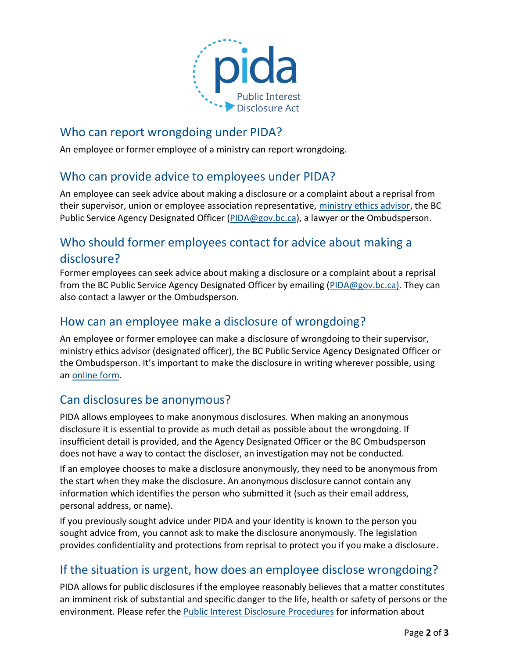

#### Who can report wrongdoing under PIDA?

An employee or former employee of a ministry can report wrongdoing.

#### Who can provide advice to employees under PIDA?

An employee can seek advice about making a disclosure or a complaint about a reprisal from their supervisor, union or employee association representative, [ministry ethics advisor,](https://www2.gov.bc.ca/gov/content?id=83A2B60ACB024A9EA47C5ABC89F709E6) the BC Public Service Agency Designated Officer [\(PIDA@gov.bc.ca\)](mailto:PIDA@gov.bc.ca), a lawyer or the Ombudsperson.

## Who should former employees contact for advice about making a disclosure?

Former employees can seek advice about making a disclosure or a complaint about a reprisal from the BC Public Service Agency Designated Officer by emailing [\(PIDA@gov.bc.ca\)](mailto:PIDA@gov.bc.ca). They can also contact a lawyer or the Ombudsperson.

## How can an employee make a disclosure of wrongdoing?

An employee or former employee can make a disclosure of wrongdoing to their supervisor, ministry ethics advisor (designated officer), the BC Public Service Agency Designated Officer or the Ombudsperson. It's important to make the disclosure in writing wherever possible, using an [online](https://forms.gov.bc.ca/careers-myhr/public-interest-disclosure-form/) form.

## Can disclosures be anonymous?

PIDA allows employees to make anonymous disclosures. When making an anonymous disclosure it is essential to provide as much detail as possible about the wrongdoing. If insufficient detail is provided, and the Agency Designated Officer or the BC Ombudsperson does not have a way to contact the discloser, an investigation may not be conducted.

If an employee chooses to make a disclosure anonymously, they need to be anonymous from the start when they make the disclosure. An anonymous disclosure cannot contain any information which identifies the person who submitted it (such as their email address, personal address, or name).

If you previously sought advice under PIDA and your identity is known to the person you sought advice from, you cannot ask to make the disclosure anonymously. The legislation provides confidentiality and protections from reprisal to protect you if you make a disclosure.

## If the situation is urgent, how does an employee disclose wrongdoing?

PIDA allows for public disclosures if the employee reasonably believes that a matter constitutes an imminent risk of substantial and specific danger to the life, health or safety of persons or the environment. Please refer the [Public Interest Disclosure Procedures](https://www2.gov.bc.ca/assets/download/50CC0A8679CE45DDB397309D0ED67884) for information about